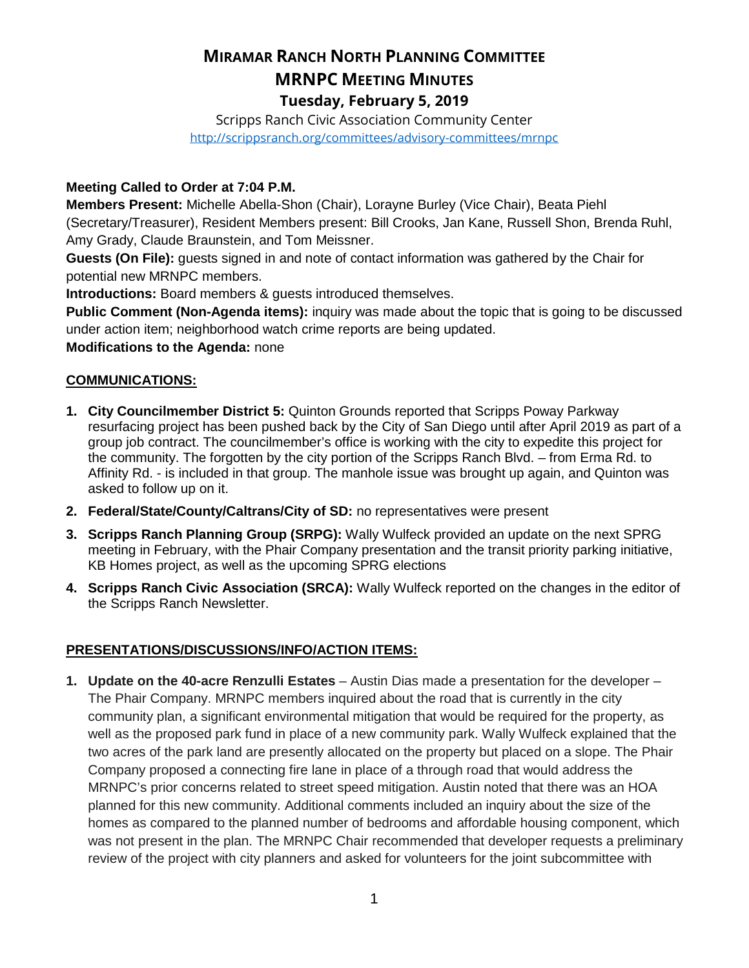# **MIRAMAR RANCH NORTH PLANNING COMMITTEE MRNPC MEETING MINUTES Tuesday, February 5, 2019**

Scripps Ranch Civic Association Community Center <http://scrippsranch.org/committees/advisory-committees/mrnpc>

## **Meeting Called to Order at 7:04 P.M.**

**Members Present:** Michelle Abella-Shon (Chair), Lorayne Burley (Vice Chair), Beata Piehl (Secretary/Treasurer), Resident Members present: Bill Crooks, Jan Kane, Russell Shon, Brenda Ruhl, Amy Grady, Claude Braunstein, and Tom Meissner.

**Guests (On File):** guests signed in and note of contact information was gathered by the Chair for potential new MRNPC members.

**Introductions:** Board members & guests introduced themselves.

**Public Comment (Non-Agenda items):** inquiry was made about the topic that is going to be discussed under action item; neighborhood watch crime reports are being updated.

**Modifications to the Agenda:** none

## **COMMUNICATIONS:**

- **1. City Councilmember District 5:** Quinton Grounds reported that Scripps Poway Parkway resurfacing project has been pushed back by the City of San Diego until after April 2019 as part of a group job contract. The councilmember's office is working with the city to expedite this project for the community. The forgotten by the city portion of the Scripps Ranch Blvd. – from Erma Rd. to Affinity Rd. - is included in that group. The manhole issue was brought up again, and Quinton was asked to follow up on it.
- **2. Federal/State/County/Caltrans/City of SD:** no representatives were present
- **3. Scripps Ranch Planning Group (SRPG):** Wally Wulfeck provided an update on the next SPRG meeting in February, with the Phair Company presentation and the transit priority parking initiative, KB Homes project, as well as the upcoming SPRG elections
- **4. Scripps Ranch Civic Association (SRCA):** Wally Wulfeck reported on the changes in the editor of the Scripps Ranch Newsletter.

## **PRESENTATIONS/DISCUSSIONS/INFO/ACTION ITEMS:**

**1. Update on the 40-acre Renzulli Estates** – Austin Dias made a presentation for the developer – The Phair Company. MRNPC members inquired about the road that is currently in the city community plan, a significant environmental mitigation that would be required for the property, as well as the proposed park fund in place of a new community park. Wally Wulfeck explained that the two acres of the park land are presently allocated on the property but placed on a slope. The Phair Company proposed a connecting fire lane in place of a through road that would address the MRNPC's prior concerns related to street speed mitigation. Austin noted that there was an HOA planned for this new community. Additional comments included an inquiry about the size of the homes as compared to the planned number of bedrooms and affordable housing component, which was not present in the plan. The MRNPC Chair recommended that developer requests a preliminary review of the project with city planners and asked for volunteers for the joint subcommittee with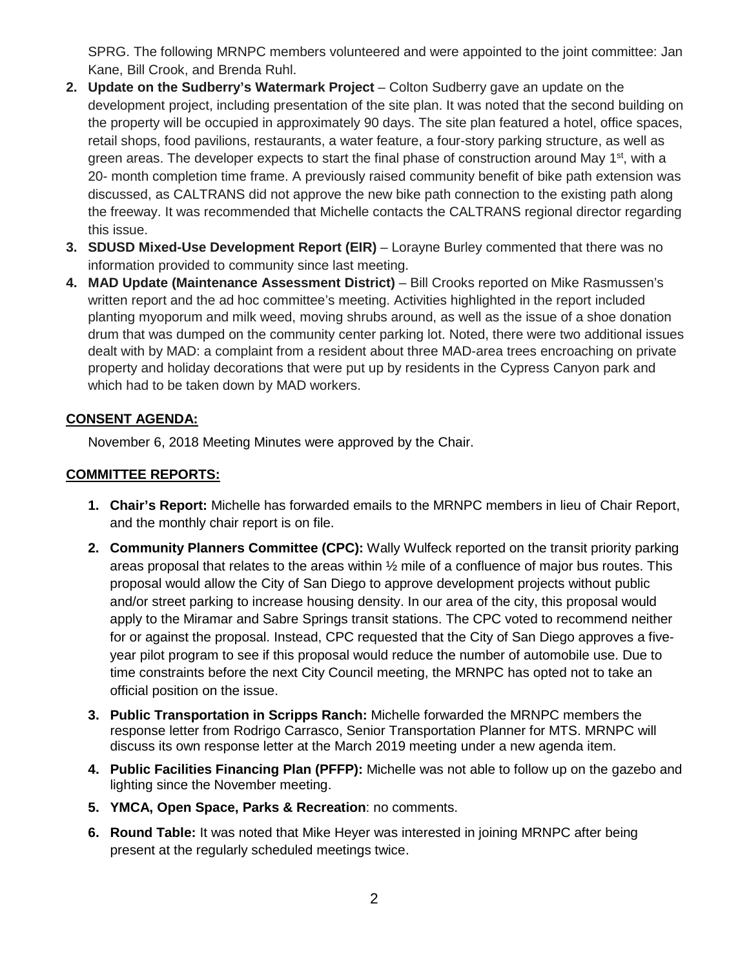SPRG. The following MRNPC members volunteered and were appointed to the joint committee: Jan Kane, Bill Crook, and Brenda Ruhl.

- **2. Update on the Sudberry's Watermark Project** Colton Sudberry gave an update on the development project, including presentation of the site plan. It was noted that the second building on the property will be occupied in approximately 90 days. The site plan featured a hotel, office spaces, retail shops, food pavilions, restaurants, a water feature, a four-story parking structure, as well as green areas. The developer expects to start the final phase of construction around May 1<sup>st</sup>, with a 20- month completion time frame. A previously raised community benefit of bike path extension was discussed, as CALTRANS did not approve the new bike path connection to the existing path along the freeway. It was recommended that Michelle contacts the CALTRANS regional director regarding this issue.
- **3. SDUSD Mixed-Use Development Report (EIR)** Lorayne Burley commented that there was no information provided to community since last meeting.
- **4. MAD Update (Maintenance Assessment District)** Bill Crooks reported on Mike Rasmussen's written report and the ad hoc committee's meeting. Activities highlighted in the report included planting myoporum and milk weed, moving shrubs around, as well as the issue of a shoe donation drum that was dumped on the community center parking lot. Noted, there were two additional issues dealt with by MAD: a complaint from a resident about three MAD-area trees encroaching on private property and holiday decorations that were put up by residents in the Cypress Canyon park and which had to be taken down by MAD workers.

## **CONSENT AGENDA:**

November 6, 2018 Meeting Minutes were approved by the Chair.

#### **COMMITTEE REPORTS:**

- **1. Chair's Report:** Michelle has forwarded emails to the MRNPC members in lieu of Chair Report, and the monthly chair report is on file.
- **2. Community Planners Committee (CPC):** Wally Wulfeck reported on the transit priority parking areas proposal that relates to the areas within ½ mile of a confluence of major bus routes. This proposal would allow the City of San Diego to approve development projects without public and/or street parking to increase housing density. In our area of the city, this proposal would apply to the Miramar and Sabre Springs transit stations. The CPC voted to recommend neither for or against the proposal. Instead, CPC requested that the City of San Diego approves a fiveyear pilot program to see if this proposal would reduce the number of automobile use. Due to time constraints before the next City Council meeting, the MRNPC has opted not to take an official position on the issue.
- **3. Public Transportation in Scripps Ranch:** Michelle forwarded the MRNPC members the response letter from Rodrigo Carrasco, Senior Transportation Planner for MTS. MRNPC will discuss its own response letter at the March 2019 meeting under a new agenda item.
- **4. Public Facilities Financing Plan (PFFP):** Michelle was not able to follow up on the gazebo and lighting since the November meeting.
- **5. YMCA, Open Space, Parks & Recreation**: no comments.
- **6. Round Table:** It was noted that Mike Heyer was interested in joining MRNPC after being present at the regularly scheduled meetings twice.